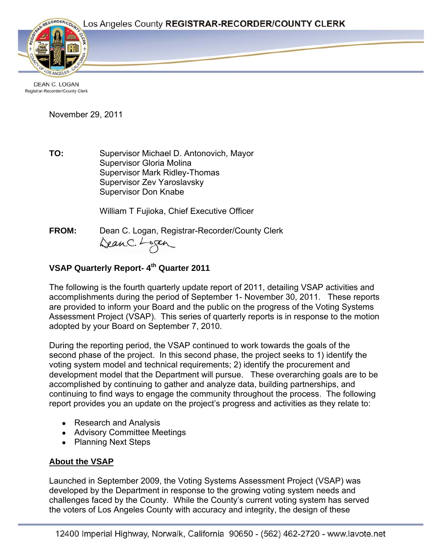Page 1



**DEAN C. LOGAN** Registrar-Recorder/County Clerk

November 29, 2011

**TO:** Supervisor Michael D. Antonovich, Mayor Supervisor Gloria Molina Supervisor Mark Ridley-Thomas Supervisor Zev Yaroslavsky Supervisor Don Knabe

William T Fujioka, Chief Executive Officer

**FROM:** Dean C. Logan, Registrar-Recorder/County Clerk DeanC. Logan

# **VSAP Quarterly Report-4<sup>th</sup> Quarter 2011**

The following is the fourth quarterly update report of 2011, detailing VSAP activities and accomplishments during the period of September 1- November 30, 2011. These reports are provided to inform your Board and the public on the progress of the Voting Systems Assessment Project (VSAP). This series of quarterly reports is in response to the motion adopted by your Board on September 7, 2010.

During the reporting period, the VSAP continued to work towards the goals of the second phase of the project. In this second phase, the project seeks to 1) identify the voting system model and technical requirements; 2) identify the procurement and development model that the Department will pursue. These overarching goals are to be accomplished by continuing to gather and analyze data, building partnerships, and continuing to find ways to engage the community throughout the process. The following report provides you an update on the project's progress and activities as they relate to:

- Research and Analysis
- Advisory Committee Meetings
- Planning Next Steps

# **About the VSAP**

Launched in September 2009, the Voting Systems Assessment Project (VSAP) was developed by the Department in response to the growing voting system needs and challenges faced by the County. While the County's current voting system has served the voters of Los Angeles County with accuracy and integrity, the design of these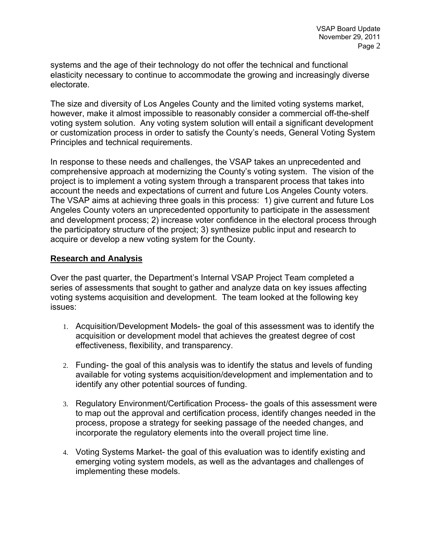systems and the age of their technology do not offer the technical and functional elasticity necessary to continue to accommodate the growing and increasingly diverse electorate.

The size and diversity of Los Angeles County and the limited voting systems market, however, make it almost impossible to reasonably consider a commercial off-the-shelf voting system solution. Any voting system solution will entail a significant development or customization process in order to satisfy the County's needs, General Voting System Principles and technical requirements.

In response to these needs and challenges, the VSAP takes an unprecedented and comprehensive approach at modernizing the County's voting system. The vision of the project is to implement a voting system through a transparent process that takes into account the needs and expectations of current and future Los Angeles County voters. The VSAP aims at achieving three goals in this process: 1) give current and future Los Angeles County voters an unprecedented opportunity to participate in the assessment and development process; 2) increase voter confidence in the electoral process through the participatory structure of the project; 3) synthesize public input and research to acquire or develop a new voting system for the County.

### **Research and Analysis**

Over the past quarter, the Department's Internal VSAP Project Team completed a series of assessments that sought to gather and analyze data on key issues affecting voting systems acquisition and development. The team looked at the following key issues:

- 1. Acquisition/Development Models- the goal of this assessment was to identify the acquisition or development model that achieves the greatest degree of cost effectiveness, flexibility, and transparency.
- 2. Funding- the goal of this analysis was to identify the status and levels of funding available for voting systems acquisition/development and implementation and to identify any other potential sources of funding.
- 3. Regulatory Environment/Certification Process- the goals of this assessment were to map out the approval and certification process, identify changes needed in the process, propose a strategy for seeking passage of the needed changes, and incorporate the regulatory elements into the overall project time line.
- 4. Voting Systems Market- the goal of this evaluation was to identify existing and emerging voting system models, as well as the advantages and challenges of implementing these models.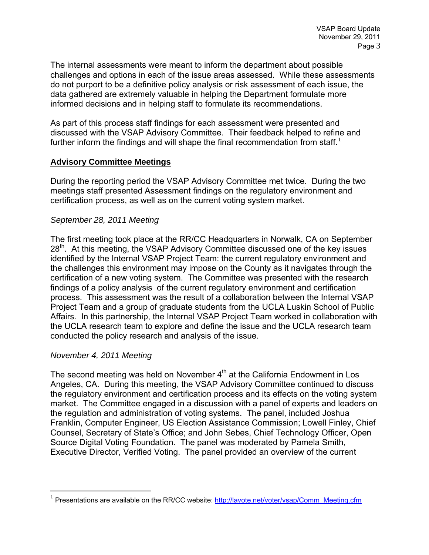The internal assessments were meant to inform the department about possible challenges and options in each of the issue areas assessed. While these assessments do not purport to be a definitive policy analysis or risk assessment of each issue, the data gathered are extremely valuable in helping the Department formulate more informed decisions and in helping staff to formulate its recommendations.

As part of this process staff findings for each assessment were presented and discussed with the VSAP Advisory Committee. Their feedback helped to refine and further inform the findings and will shape the final recommendation from staff.<sup>[1](#page-2-0)</sup>

#### **Advisory Committee Meetings**

During the reporting period the VSAP Advisory Committee met twice. During the two meetings staff presented Assessment findings on the regulatory environment and certification process, as well as on the current voting system market.

#### *September 28, 2011 Meeting*

The first meeting took place at the RR/CC Headquarters in Norwalk, CA on September 28<sup>th</sup>. At this meeting, the VSAP Advisory Committee discussed one of the key issues identified by the Internal VSAP Project Team: the current regulatory environment and the challenges this environment may impose on the County as it navigates through the certification of a new voting system. The Committee was presented with the research findings of a policy analysis of the current regulatory environment and certification process. This assessment was the result of a collaboration between the Internal VSAP Project Team and a group of graduate students from the UCLA Luskin School of Public Affairs. In this partnership, the Internal VSAP Project Team worked in collaboration with the UCLA research team to explore and define the issue and the UCLA research team conducted the policy research and analysis of the issue.

### *November 4, 2011 Meeting*

 $\overline{a}$ 

The second meeting was held on November  $4<sup>th</sup>$  at the California Endowment in Los Angeles, CA. During this meeting, the VSAP Advisory Committee continued to discuss the regulatory environment and certification process and its effects on the voting system market. The Committee engaged in a discussion with a panel of experts and leaders on the regulation and administration of voting systems. The panel, included Joshua Franklin, Computer Engineer, US Election Assistance Commission; Lowell Finley, Chief Counsel, Secretary of State's Office; and John Sebes, Chief Technology Officer, Open Source Digital Voting Foundation. The panel was moderated by Pamela Smith, Executive Director, Verified Voting. The panel provided an overview of the current

<span id="page-2-0"></span><sup>&</sup>lt;sup>1</sup> Presentations are available on the RR/CC website: [http://lavote.net/voter/vsap/Comm\\_Meeting.cfm](http://lavote.net/voter/vsap/Comm_Meeting.cfm)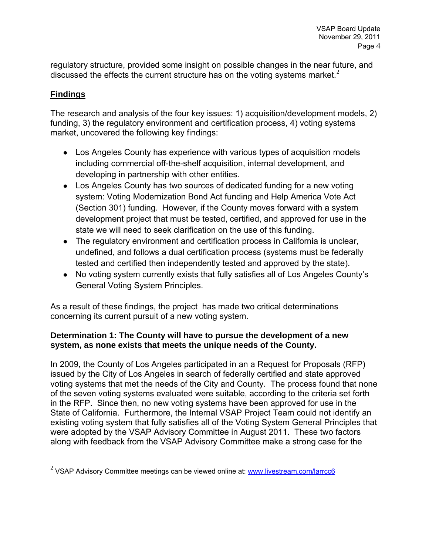regulatory structure, provided some insight on possible changes in the near future, and discussed the effects the current structure has on the voting systems market.<sup>[2](#page-3-0)</sup>

# **Findings**

 $\overline{a}$ 

The research and analysis of the four key issues: 1) acquisition/development models, 2) funding, 3) the regulatory environment and certification process, 4) voting systems market, uncovered the following key findings:

- Los Angeles County has experience with various types of acquisition models including commercial off-the-shelf acquisition, internal development, and developing in partnership with other entities.
- Los Angeles County has two sources of dedicated funding for a new voting system: Voting Modernization Bond Act funding and Help America Vote Act (Section 301) funding. However, if the County moves forward with a system development project that must be tested, certified, and approved for use in the state we will need to seek clarification on the use of this funding.
- The regulatory environment and certification process in California is unclear, undefined, and follows a dual certification process (systems must be federally tested and certified then independently tested and approved by the state).
- No voting system currently exists that fully satisfies all of Los Angeles County's General Voting System Principles.

As a result of these findings, the project has made two critical determinations concerning its current pursuit of a new voting system.

## **Determination 1: The County will have to pursue the development of a new system, as none exists that meets the unique needs of the County.**

In 2009, the County of Los Angeles participated in an a Request for Proposals (RFP) issued by the City of Los Angeles in search of federally certified and state approved voting systems that met the needs of the City and County. The process found that none of the seven voting systems evaluated were suitable, according to the criteria set forth in the RFP. Since then, no new voting systems have been approved for use in the State of California. Furthermore, the Internal VSAP Project Team could not identify an existing voting system that fully satisfies all of the Voting System General Principles that were adopted by the VSAP Advisory Committee in August 2011. These two factors along with feedback from the VSAP Advisory Committee make a strong case for the

<span id="page-3-0"></span> $^{2}$  VSAP Advisory Committee meetings can be viewed online at: [www.livestream.com/larrcc6](http://www.livestream.com/larrcc6)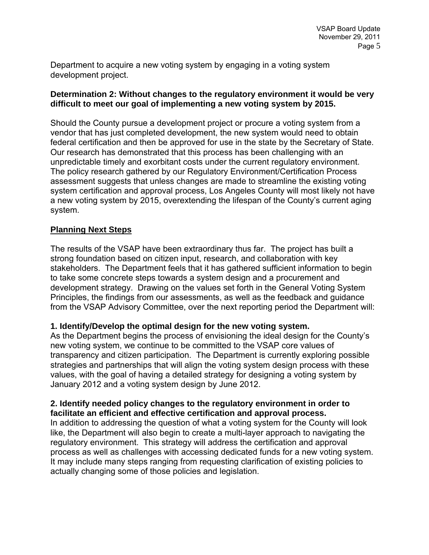Department to acquire a new voting system by engaging in a voting system development project.

### **Determination 2: Without changes to the regulatory environment it would be very difficult to meet our goal of implementing a new voting system by 2015.**

Should the County pursue a development project or procure a voting system from a vendor that has just completed development, the new system would need to obtain federal certification and then be approved for use in the state by the Secretary of State. Our research has demonstrated that this process has been challenging with an unpredictable timely and exorbitant costs under the current regulatory environment. The policy research gathered by our Regulatory Environment/Certification Process assessment suggests that unless changes are made to streamline the existing voting system certification and approval process, Los Angeles County will most likely not have a new voting system by 2015, overextending the lifespan of the County's current aging system.

### **Planning Next Steps**

The results of the VSAP have been extraordinary thus far. The project has built a strong foundation based on citizen input, research, and collaboration with key stakeholders. The Department feels that it has gathered sufficient information to begin to take some concrete steps towards a system design and a procurement and development strategy. Drawing on the values set forth in the General Voting System Principles, the findings from our assessments, as well as the feedback and guidance from the VSAP Advisory Committee, over the next reporting period the Department will:

### **1. Identify/Develop the optimal design for the new voting system.**

As the Department begins the process of envisioning the ideal design for the County's new voting system, we continue to be committed to the VSAP core values of transparency and citizen participation. The Department is currently exploring possible strategies and partnerships that will align the voting system design process with these values, with the goal of having a detailed strategy for designing a voting system by January 2012 and a voting system design by June 2012.

### **2. Identify needed policy changes to the regulatory environment in order to facilitate an efficient and effective certification and approval process.**

In addition to addressing the question of what a voting system for the County will look like, the Department will also begin to create a multi-layer approach to navigating the regulatory environment. This strategy will address the certification and approval process as well as challenges with accessing dedicated funds for a new voting system. It may include many steps ranging from requesting clarification of existing policies to actually changing some of those policies and legislation.